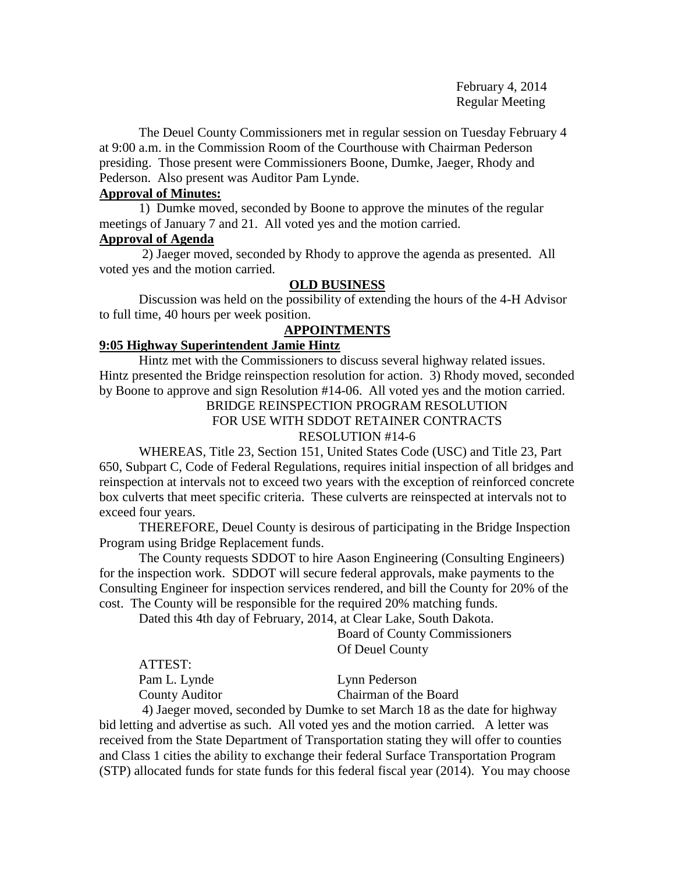February 4, 2014 Regular Meeting

The Deuel County Commissioners met in regular session on Tuesday February 4 at 9:00 a.m. in the Commission Room of the Courthouse with Chairman Pederson presiding. Those present were Commissioners Boone, Dumke, Jaeger, Rhody and Pederson. Also present was Auditor Pam Lynde.

# **Approval of Minutes:**

1) Dumke moved, seconded by Boone to approve the minutes of the regular meetings of January 7 and 21. All voted yes and the motion carried.

## **Approval of Agenda**

2) Jaeger moved, seconded by Rhody to approve the agenda as presented. All voted yes and the motion carried.

## **OLD BUSINESS**

Discussion was held on the possibility of extending the hours of the 4-H Advisor to full time, 40 hours per week position.

# **APPOINTMENTS**

# **9:05 Highway Superintendent Jamie Hintz**

Hintz met with the Commissioners to discuss several highway related issues. Hintz presented the Bridge reinspection resolution for action. 3) Rhody moved, seconded by Boone to approve and sign Resolution #14-06. All voted yes and the motion carried.

## BRIDGE REINSPECTION PROGRAM RESOLUTION FOR USE WITH SDDOT RETAINER CONTRACTS RESOLUTION #14-6

WHEREAS, Title 23, Section 151, United States Code (USC) and Title 23, Part 650, Subpart C, Code of Federal Regulations, requires initial inspection of all bridges and reinspection at intervals not to exceed two years with the exception of reinforced concrete box culverts that meet specific criteria. These culverts are reinspected at intervals not to exceed four years.

THEREFORE, Deuel County is desirous of participating in the Bridge Inspection Program using Bridge Replacement funds.

The County requests SDDOT to hire Aason Engineering (Consulting Engineers) for the inspection work. SDDOT will secure federal approvals, make payments to the Consulting Engineer for inspection services rendered, and bill the County for 20% of the cost. The County will be responsible for the required 20% matching funds.

Dated this 4th day of February, 2014, at Clear Lake, South Dakota.

Board of County Commissioners Of Deuel County

| ATTEST:        |                       |
|----------------|-----------------------|
| Pam L. Lynde   | Lynn Pederson         |
| County Auditor | Chairman of the Board |

4) Jaeger moved, seconded by Dumke to set March 18 as the date for highway bid letting and advertise as such. All voted yes and the motion carried. A letter was received from the State Department of Transportation stating they will offer to counties and Class 1 cities the ability to exchange their federal Surface Transportation Program (STP) allocated funds for state funds for this federal fiscal year (2014). You may choose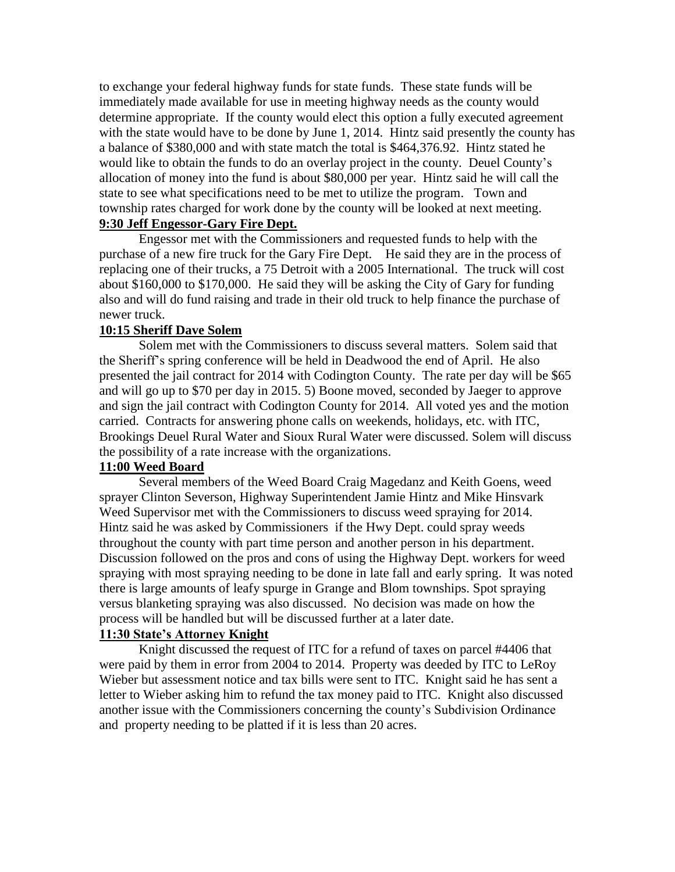to exchange your federal highway funds for state funds. These state funds will be immediately made available for use in meeting highway needs as the county would determine appropriate. If the county would elect this option a fully executed agreement with the state would have to be done by June 1, 2014. Hintz said presently the county has a balance of \$380,000 and with state match the total is \$464,376.92. Hintz stated he would like to obtain the funds to do an overlay project in the county. Deuel County's allocation of money into the fund is about \$80,000 per year. Hintz said he will call the state to see what specifications need to be met to utilize the program. Town and township rates charged for work done by the county will be looked at next meeting. **9:30 Jeff Engessor-Gary Fire Dept.**

Engessor met with the Commissioners and requested funds to help with the purchase of a new fire truck for the Gary Fire Dept. He said they are in the process of replacing one of their trucks, a 75 Detroit with a 2005 International. The truck will cost about \$160,000 to \$170,000. He said they will be asking the City of Gary for funding also and will do fund raising and trade in their old truck to help finance the purchase of newer truck.

## **10:15 Sheriff Dave Solem**

Solem met with the Commissioners to discuss several matters. Solem said that the Sheriff's spring conference will be held in Deadwood the end of April. He also presented the jail contract for 2014 with Codington County. The rate per day will be \$65 and will go up to \$70 per day in 2015. 5) Boone moved, seconded by Jaeger to approve and sign the jail contract with Codington County for 2014. All voted yes and the motion carried. Contracts for answering phone calls on weekends, holidays, etc. with ITC, Brookings Deuel Rural Water and Sioux Rural Water were discussed. Solem will discuss the possibility of a rate increase with the organizations.

# **11:00 Weed Board**

Several members of the Weed Board Craig Magedanz and Keith Goens, weed sprayer Clinton Severson, Highway Superintendent Jamie Hintz and Mike Hinsvark Weed Supervisor met with the Commissioners to discuss weed spraying for 2014. Hintz said he was asked by Commissioners if the Hwy Dept. could spray weeds throughout the county with part time person and another person in his department. Discussion followed on the pros and cons of using the Highway Dept. workers for weed spraying with most spraying needing to be done in late fall and early spring. It was noted there is large amounts of leafy spurge in Grange and Blom townships. Spot spraying versus blanketing spraying was also discussed. No decision was made on how the process will be handled but will be discussed further at a later date.

## **11:30 State's Attorney Knight**

Knight discussed the request of ITC for a refund of taxes on parcel #4406 that were paid by them in error from 2004 to 2014. Property was deeded by ITC to LeRoy Wieber but assessment notice and tax bills were sent to ITC. Knight said he has sent a letter to Wieber asking him to refund the tax money paid to ITC. Knight also discussed another issue with the Commissioners concerning the county's Subdivision Ordinance and property needing to be platted if it is less than 20 acres.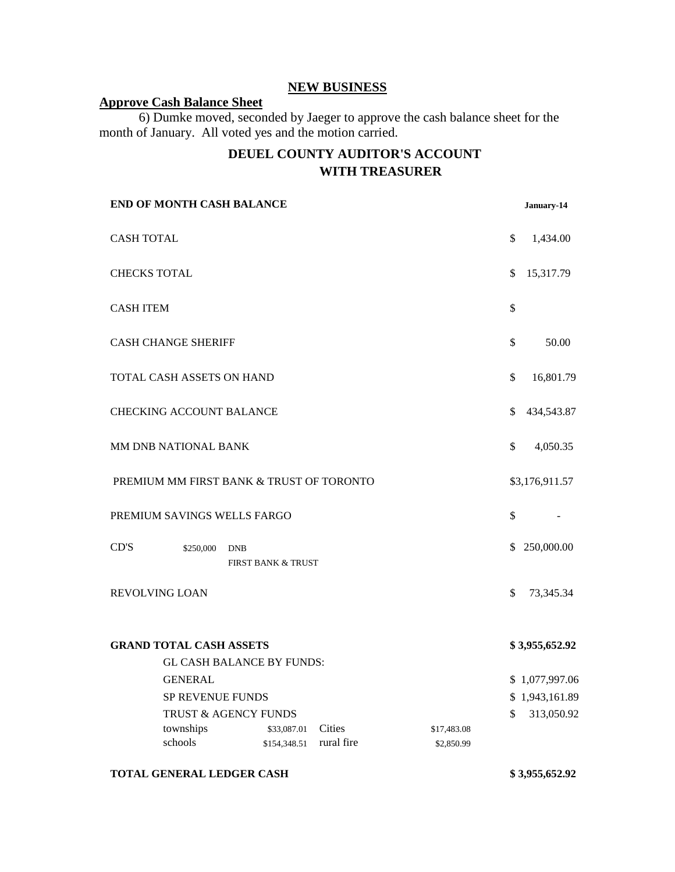# **NEW BUSINESS**

# **Approve Cash Balance Sheet**

6) Dumke moved, seconded by Jaeger to approve the cash balance sheet for the month of January. All voted yes and the motion carried.

# **DEUEL COUNTY AUDITOR'S ACCOUNT WITH TREASURER**

|                                | <b>END OF MONTH CASH BALANCE</b>         |            |                               |            |  |                           |              | January-14     |
|--------------------------------|------------------------------------------|------------|-------------------------------|------------|--|---------------------------|--------------|----------------|
| <b>CASH TOTAL</b>              |                                          |            |                               |            |  |                           | \$           | 1,434.00       |
| <b>CHECKS TOTAL</b>            |                                          |            |                               |            |  |                           | \$           | 15,317.79      |
| <b>CASH ITEM</b>               |                                          |            |                               |            |  |                           | \$           |                |
|                                | <b>CASH CHANGE SHERIFF</b>               |            |                               |            |  |                           | \$           | 50.00          |
|                                | TOTAL CASH ASSETS ON HAND                |            |                               |            |  |                           | \$           | 16,801.79      |
|                                | <b>CHECKING ACCOUNT BALANCE</b>          |            |                               |            |  |                           | $\mathbb{S}$ | 434,543.87     |
|                                | MM DNB NATIONAL BANK                     |            |                               |            |  |                           | \$           | 4,050.35       |
|                                | PREMIUM MM FIRST BANK & TRUST OF TORONTO |            |                               |            |  |                           |              | \$3,176,911.57 |
|                                | PREMIUM SAVINGS WELLS FARGO              |            |                               |            |  |                           | \$           |                |
| CD'S                           | \$250,000                                | <b>DNB</b> | <b>FIRST BANK &amp; TRUST</b> |            |  |                           | \$           | 250,000.00     |
| REVOLVING LOAN                 |                                          |            |                               |            |  |                           | \$           | 73,345.34      |
| <b>GRAND TOTAL CASH ASSETS</b> |                                          |            |                               |            |  |                           |              | \$3,955,652.92 |
|                                | <b>GL CASH BALANCE BY FUNDS:</b>         |            |                               |            |  |                           |              |                |
|                                | <b>GENERAL</b>                           |            |                               |            |  |                           |              | \$1,077,997.06 |
| SP REVENUE FUNDS               |                                          |            |                               |            |  |                           |              | \$1,943,161.89 |
|                                | TRUST & AGENCY FUNDS<br>townships        |            |                               | Cities     |  |                           | \$           | 313,050.92     |
|                                | schools                                  |            | \$33,087.01<br>\$154,348.51   | rural fire |  | \$17,483.08<br>\$2,850.99 |              |                |

#### **TOTAL GENERAL LEDGER CASH \$ 3,955,652.92**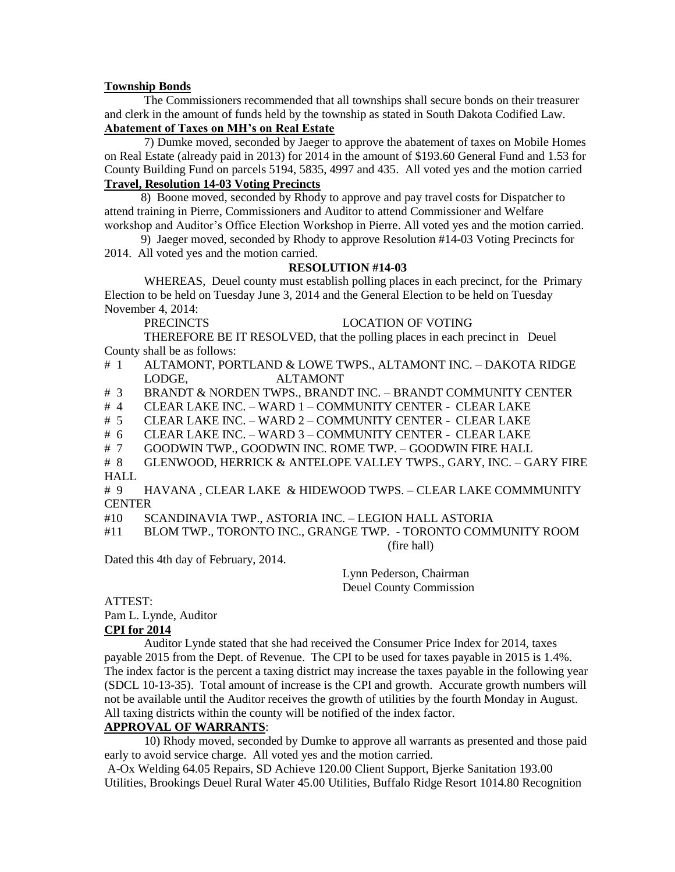### **Township Bonds**

The Commissioners recommended that all townships shall secure bonds on their treasurer and clerk in the amount of funds held by the township as stated in South Dakota Codified Law. **Abatement of Taxes on MH's on Real Estate** 

7) Dumke moved, seconded by Jaeger to approve the abatement of taxes on Mobile Homes on Real Estate (already paid in 2013) for 2014 in the amount of \$193.60 General Fund and 1.53 for County Building Fund on parcels 5194, 5835, 4997 and 435. All voted yes and the motion carried **Travel, Resolution 14-03 Voting Precincts**

### 8) Boone moved, seconded by Rhody to approve and pay travel costs for Dispatcher to attend training in Pierre, Commissioners and Auditor to attend Commissioner and Welfare workshop and Auditor's Office Election Workshop in Pierre. All voted yes and the motion carried.

 9) Jaeger moved, seconded by Rhody to approve Resolution #14-03 Voting Precincts for 2014. All voted yes and the motion carried.

## **RESOLUTION #14-03**

WHEREAS, Deuel county must establish polling places in each precinct, for the Primary Election to be held on Tuesday June 3, 2014 and the General Election to be held on Tuesday November 4, 2014:

PRECINCTS LOCATION OF VOTING

THEREFORE BE IT RESOLVED, that the polling places in each precinct in Deuel County shall be as follows:

- # 1 ALTAMONT, PORTLAND & LOWE TWPS., ALTAMONT INC. DAKOTA RIDGE LODGE, ALTAMONT
- # 3 BRANDT & NORDEN TWPS., BRANDT INC. BRANDT COMMUNITY CENTER
- # 4 CLEAR LAKE INC. WARD 1 COMMUNITY CENTER CLEAR LAKE
- # 5 CLEAR LAKE INC. WARD 2 COMMUNITY CENTER CLEAR LAKE
- # 6 CLEAR LAKE INC. WARD 3 COMMUNITY CENTER CLEAR LAKE
- # 7 GOODWIN TWP., GOODWIN INC. ROME TWP. GOODWIN FIRE HALL

# 8 GLENWOOD, HERRICK & ANTELOPE VALLEY TWPS., GARY, INC. – GARY FIRE HALL

# 9 HAVANA , CLEAR LAKE & HIDEWOOD TWPS. – CLEAR LAKE COMMMUNITY **CENTER** 

- #10 SCANDINAVIA TWP., ASTORIA INC. LEGION HALL ASTORIA
- #11 BLOM TWP., TORONTO INC., GRANGE TWP. TORONTO COMMUNITY ROOM

(fire hall)

Dated this 4th day of February, 2014.

Lynn Pederson, Chairman Deuel County Commission

# ATTEST:

Pam L. Lynde, Auditor

# **CPI for 2014**

Auditor Lynde stated that she had received the Consumer Price Index for 2014, taxes payable 2015 from the Dept. of Revenue. The CPI to be used for taxes payable in 2015 is 1.4%. The index factor is the percent a taxing district may increase the taxes payable in the following year (SDCL 10-13-35). Total amount of increase is the CPI and growth. Accurate growth numbers will not be available until the Auditor receives the growth of utilities by the fourth Monday in August. All taxing districts within the county will be notified of the index factor.

## **APPROVAL OF WARRANTS**:

10) Rhody moved, seconded by Dumke to approve all warrants as presented and those paid early to avoid service charge. All voted yes and the motion carried.

A-Ox Welding 64.05 Repairs, SD Achieve 120.00 Client Support, Bjerke Sanitation 193.00 Utilities, Brookings Deuel Rural Water 45.00 Utilities, Buffalo Ridge Resort 1014.80 Recognition